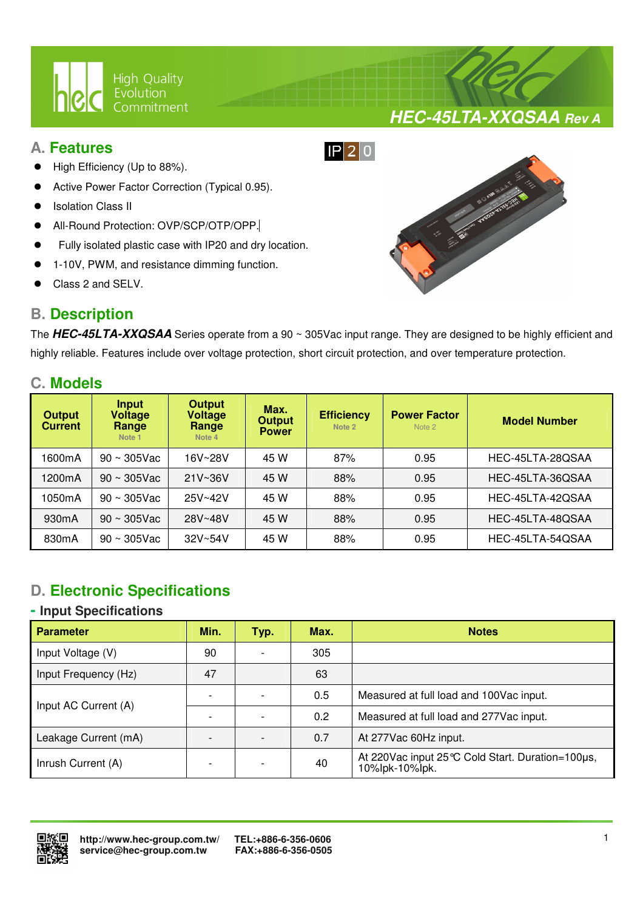

# **A. Features**

- High Efficiency (Up to 88%).
- Active Power Factor Correction (Typical 0.95).
- Isolation Class II
- All-Round Protection: OVP/SCP/OTP/OPP.
- Fully isolated plastic case with IP20 and dry location.

 $\overline{a}$ 

- 1-10V, PWM, and resistance dimming function.
- Class 2 and SELV.

# **B. Description**



The **HEC-45LTA-XXQSAA** Series operate from a 90 ~ 305Vac input range. They are designed to be highly efficient and highly reliable. Features include over voltage protection, short circuit protection, and over temperature protection.

# **C. Models**

| <b>Output</b><br><b>Current</b> | Input<br><b>Voltage</b><br>Range<br>Note 1 | <b>Output</b><br><b>Voltage</b><br>Range<br>Note 4 | Max.<br><b>Output</b><br><b>Power</b> | <b>Efficiency</b><br>Note 2 | <b>Power Factor</b><br>Note 2 | <b>Model Number</b> |
|---------------------------------|--------------------------------------------|----------------------------------------------------|---------------------------------------|-----------------------------|-------------------------------|---------------------|
| 1600mA                          | $90 \sim 305$ Vac                          | 16V~28V                                            | 45 W                                  | 87%                         | 0.95                          | HEC-45LTA-28QSAA    |
| 1200mA                          | $90 \sim 305$ Vac                          | $21V - 36V$                                        | 45 W                                  | 88%                         | 0.95                          | HEC-45LTA-36QSAA    |
| 1050mA                          | $90 \sim 305$ Vac                          | 25V~42V                                            | 45 W                                  | 88%                         | 0.95                          | HEC-45LTA-42QSAA    |
| 930 <sub>m</sub> A              | $90 \sim 305$ Vac                          | 28V~48V                                            | 45 W                                  | 88%                         | 0.95                          | HEC-45LTA-48QSAA    |
| 830 <sub>m</sub> A              | $90 \sim 305$ Vac                          | $32V - 54V$                                        | 45 W                                  | 88%                         | 0.95                          | HEC-45LTA-54QSAA    |

# **D. Electronic Specifications**

## **- Input Specifications**

| <b>Parameter</b>     | Min. | Typ. | Max. | <b>Notes</b>                                                          |
|----------------------|------|------|------|-----------------------------------------------------------------------|
| Input Voltage (V)    | 90   |      | 305  |                                                                       |
| Input Frequency (Hz) | 47   |      | 63   |                                                                       |
| Input AC Current (A) |      |      | 0.5  | Measured at full load and 100Vac input.                               |
|                      |      |      | 0.2  | Measured at full load and 277 Vac input.                              |
| Leakage Current (mA) |      |      | 0.7  | At 277Vac 60Hz input.                                                 |
| Inrush Current (A)   |      |      | 40   | At 220 Vac input 25 °C Cold Start. Duration=100 µs,<br>10%lpk-10%lpk. |



**HEC-45LTA-XXQSAA Rev A**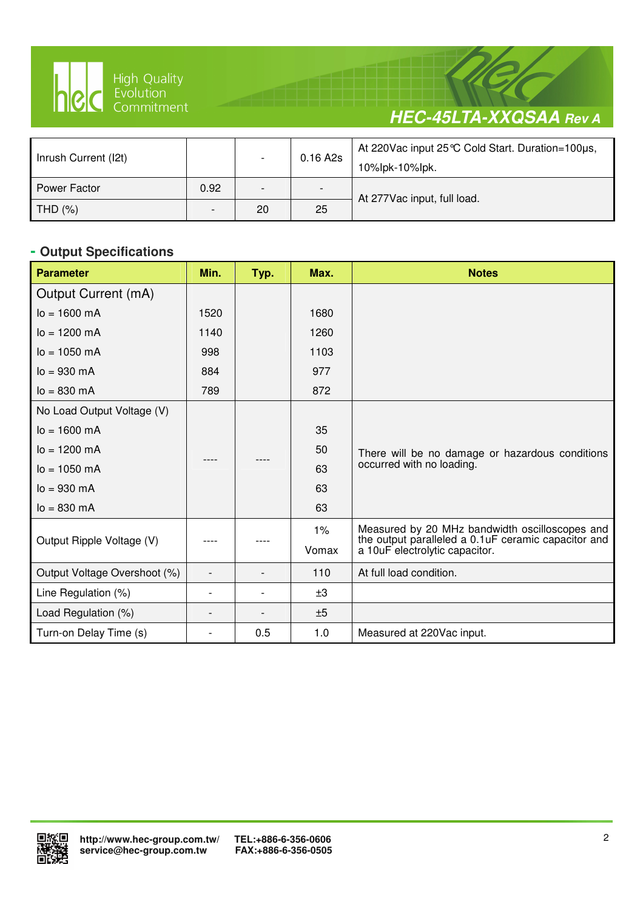

 $\overline{a}$ 

# **HEC-45LTA-XXQSAA Rev A**

| Inrush Current (I2t) |                          | $\overline{\phantom{a}}$ | $0.16$ A2s               | At 220 Vac input 25 ℃ Cold Start. Duration=100µs,<br>10%lpk-10%lpk. |  |
|----------------------|--------------------------|--------------------------|--------------------------|---------------------------------------------------------------------|--|
| Power Factor         | 0.92                     | -                        | $\overline{\phantom{0}}$ | At 277Vac input, full load.                                         |  |
| THD $(%)$            | $\overline{\phantom{0}}$ | 20                       | 25                       |                                                                     |  |

# **- Output Specifications**

| <b>Parameter</b>             | Min.                     | Typ. | Max.  | <b>Notes</b>                                                                           |
|------------------------------|--------------------------|------|-------|----------------------------------------------------------------------------------------|
| Output Current (mA)          |                          |      |       |                                                                                        |
| $I_0 = 1600$ mA              | 1520                     |      | 1680  |                                                                                        |
| $I_0 = 1200 \, \text{mA}$    | 1140                     |      | 1260  |                                                                                        |
| $I_0 = 1050$ mA              | 998                      |      | 1103  |                                                                                        |
| $I_0 = 930 \, \text{mA}$     | 884                      |      | 977   |                                                                                        |
| $I_0 = 830$ mA               | 789                      |      | 872   |                                                                                        |
| No Load Output Voltage (V)   |                          |      |       |                                                                                        |
| $I_0 = 1600 \text{ mA}$      |                          |      | 35    |                                                                                        |
| $I_0 = 1200 \, \text{mA}$    |                          |      | 50    | There will be no damage or hazardous conditions                                        |
| $I_0 = 1050$ mA              |                          |      | 63    | occurred with no loading.                                                              |
| $I_0 = 930 \, \text{mA}$     |                          |      | 63    |                                                                                        |
| $I_0 = 830$ mA               |                          |      | 63    |                                                                                        |
|                              |                          |      | $1\%$ | Measured by 20 MHz bandwidth oscilloscopes and                                         |
| Output Ripple Voltage (V)    |                          |      | Vomax | the output paralleled a 0.1 uF ceramic capacitor and<br>a 10uF electrolytic capacitor. |
| Output Voltage Overshoot (%) | $\overline{a}$           |      | 110   | At full load condition.                                                                |
| Line Regulation (%)          | $\overline{a}$           |      | ±3    |                                                                                        |
| Load Regulation (%)          | $\overline{\phantom{0}}$ |      | ±5    |                                                                                        |
| Turn-on Delay Time (s)       |                          | 0.5  | 1.0   | Measured at 220Vac input.                                                              |

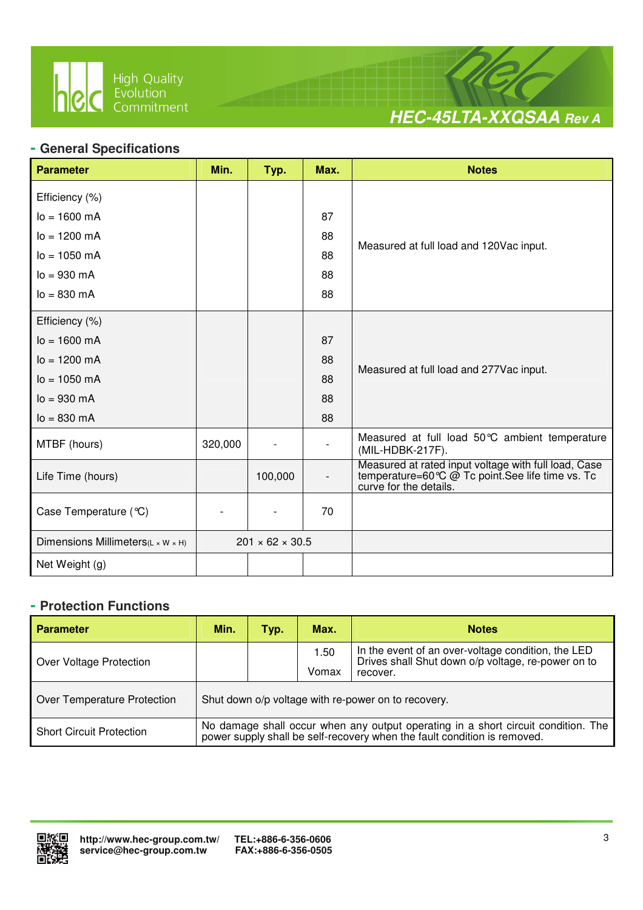

 $\overline{a}$ 



## **- General Specifications**

| <b>Parameter</b>                  | Min.    | Typ.                        | Max.                     | <b>Notes</b>                                                                                                                      |
|-----------------------------------|---------|-----------------------------|--------------------------|-----------------------------------------------------------------------------------------------------------------------------------|
| Efficiency (%)                    |         |                             |                          |                                                                                                                                   |
| $I_0 = 1600 \text{ mA}$           |         |                             | 87                       |                                                                                                                                   |
| $lo = 1200$ mA                    |         |                             | 88                       |                                                                                                                                   |
| $I_0 = 1050$ mA                   |         |                             | 88                       | Measured at full load and 120Vac input.                                                                                           |
| $lo = 930 mA$                     |         |                             | 88                       |                                                                                                                                   |
| $I_0 = 830 \, \text{mA}$          |         |                             | 88                       |                                                                                                                                   |
| Efficiency (%)                    |         |                             |                          |                                                                                                                                   |
| $I_0 = 1600 \text{ mA}$           |         |                             | 87                       |                                                                                                                                   |
| $I_0 = 1200 \text{ mA}$           | 88      |                             |                          |                                                                                                                                   |
| $I_0 = 1050$ mA                   |         |                             | 88                       | Measured at full load and 277Vac input.                                                                                           |
| $lo = 930 mA$                     |         |                             | 88                       |                                                                                                                                   |
| $lo = 830 mA$                     |         |                             | 88                       |                                                                                                                                   |
| MTBF (hours)                      | 320,000 |                             |                          | Measured at full load 50°C ambient temperature<br>(MIL-HDBK-217F).                                                                |
| Life Time (hours)                 |         | 100,000                     | $\overline{\phantom{a}}$ | Measured at rated input voltage with full load, Case<br>temperature=60℃ @ Tc point.See life time vs. Tc<br>curve for the details. |
| Case Temperature (°C)             |         |                             | 70                       |                                                                                                                                   |
| Dimensions Millimeters(L x W x H) |         | $201 \times 62 \times 30.5$ |                          |                                                                                                                                   |
| Net Weight (g)                    |         |                             |                          |                                                                                                                                   |

#### **- Protection Functions**

| <b>Parameter</b>                | Min.                                                                                                                                                          | Typ. | Max.          | <b>Notes</b>                                                                                                         |  |
|---------------------------------|---------------------------------------------------------------------------------------------------------------------------------------------------------------|------|---------------|----------------------------------------------------------------------------------------------------------------------|--|
| Over Voltage Protection         |                                                                                                                                                               |      | 1.50<br>Vomax | In the event of an over-voltage condition, the LED<br>Drives shall Shut down o/p voltage, re-power on to<br>recover. |  |
| Over Temperature Protection     | Shut down o/p voltage with re-power on to recovery.                                                                                                           |      |               |                                                                                                                      |  |
| <b>Short Circuit Protection</b> | No damage shall occur when any output operating in a short circuit condition. The<br>power supply shall be self-recovery when the fault condition is removed. |      |               |                                                                                                                      |  |

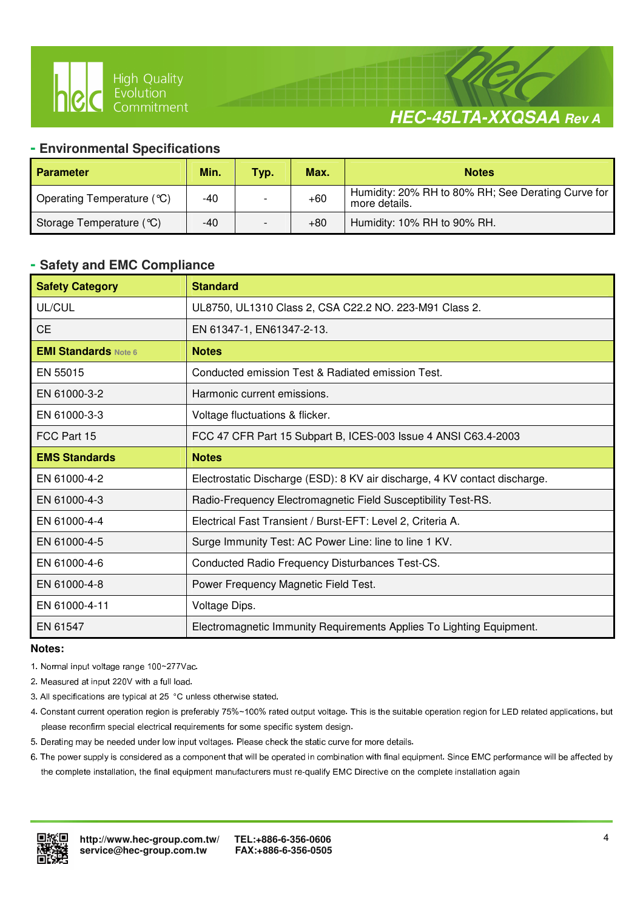



#### **- Environmental Specifications**

 $\overline{a}$ 

| <b>Parameter</b>           | Min. | Typ. | Max.  | <b>Notes</b>                                                        |
|----------------------------|------|------|-------|---------------------------------------------------------------------|
| Operating Temperature (°C) | -40  |      | $+60$ | Humidity: 20% RH to 80% RH; See Derating Curve for<br>more details. |
| Storage Temperature (°C)   | -40  |      | +80   | Humidity: 10% RH to 90% RH.                                         |

#### **- Safety and EMC Compliance**

| <b>Safety Category</b>      | <b>Standard</b>                                                            |
|-----------------------------|----------------------------------------------------------------------------|
| UL/CUL                      | UL8750, UL1310 Class 2, CSA C22.2 NO. 223-M91 Class 2.                     |
| <b>CE</b>                   | EN 61347-1, EN61347-2-13.                                                  |
| <b>EMI Standards Note 6</b> | <b>Notes</b>                                                               |
| EN 55015                    | Conducted emission Test & Radiated emission Test.                          |
| EN 61000-3-2                | Harmonic current emissions.                                                |
| EN 61000-3-3                | Voltage fluctuations & flicker.                                            |
| FCC Part 15                 | FCC 47 CFR Part 15 Subpart B, ICES-003 Issue 4 ANSI C63.4-2003             |
| <b>EMS Standards</b>        | <b>Notes</b>                                                               |
| EN 61000-4-2                | Electrostatic Discharge (ESD): 8 KV air discharge, 4 KV contact discharge. |
| EN 61000-4-3                | Radio-Frequency Electromagnetic Field Susceptibility Test-RS.              |
| EN 61000-4-4                | Electrical Fast Transient / Burst-EFT: Level 2, Criteria A.                |
| EN 61000-4-5                | Surge Immunity Test: AC Power Line: line to line 1 KV.                     |
| EN 61000-4-6                | Conducted Radio Frequency Disturbances Test-CS.                            |
| EN 61000-4-8                | Power Frequency Magnetic Field Test.                                       |
| EN 61000-4-11               | Voltage Dips.                                                              |
| EN 61547                    | Electromagnetic Immunity Requirements Applies To Lighting Equipment.       |

#### **Notes:**

- 1. Normal input voltage range 100~277Vac.
- 2. Measured at input 220V with a full load.
- 3. All specifications are typical at 25 °C unless otherwise stated.
- 4. Constant current operation region is preferably 75%~100% rated output voltage. This is the suitable operation region for LED related applications, but please reconfirm special electrical requirements for some specific system design.
- 5. Derating may be needed under low input voltages. Please check the static curve for more details.
- 6. The power supply is considered as a component that will be operated in combination with final equipment. Since EMC performance will be affected by the complete installation, the final equipment manufacturers must re-qualify EMC Directive on the complete installation again

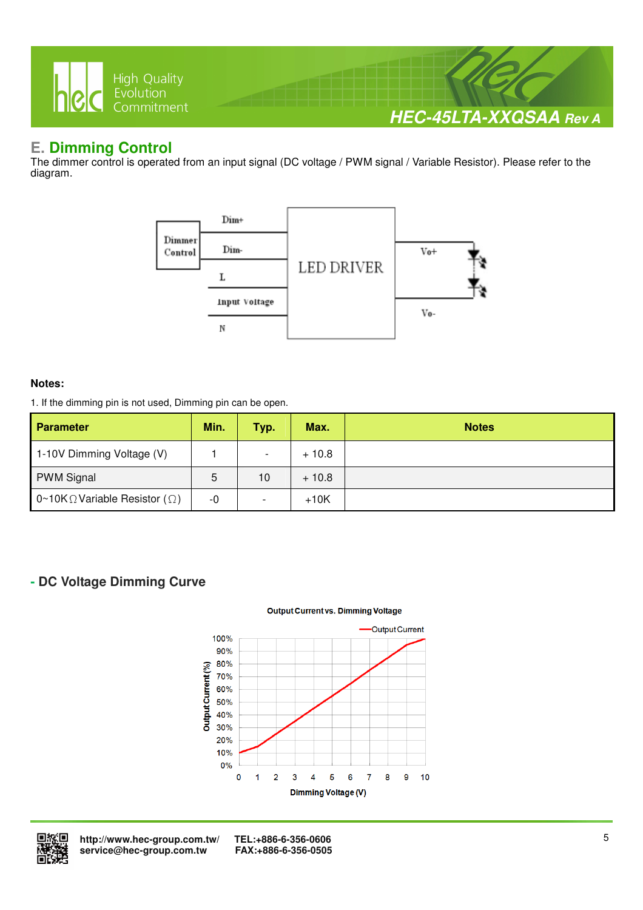

# **E. Dimming Control**

The dimmer control is operated from an input signal (DC voltage / PWM signal / Variable Resistor). Please refer to the diagram.



#### **Notes:**

1. If the dimming pin is not used, Dimming pin can be open.

| <b>Parameter</b>                              | Min. | Typ.                     | Max.    | <b>Notes</b> |
|-----------------------------------------------|------|--------------------------|---------|--------------|
| 1-10V Dimming Voltage (V)                     |      | $\overline{\phantom{0}}$ | $+10.8$ |              |
| <b>PWM Signal</b>                             | 5    | 10                       | $+10.8$ |              |
| 0~10K $\Omega$ Variable Resistor ( $\Omega$ ) | -0   |                          | $+10K$  |              |

# **- DC Voltage Dimming Curve**

#### **Output Current vs. Dimming Voltage**





 **http://www.hec-group.com.tw/ TEL:+886-6-356-0606**   $s$ ervice@hec-group.com.tw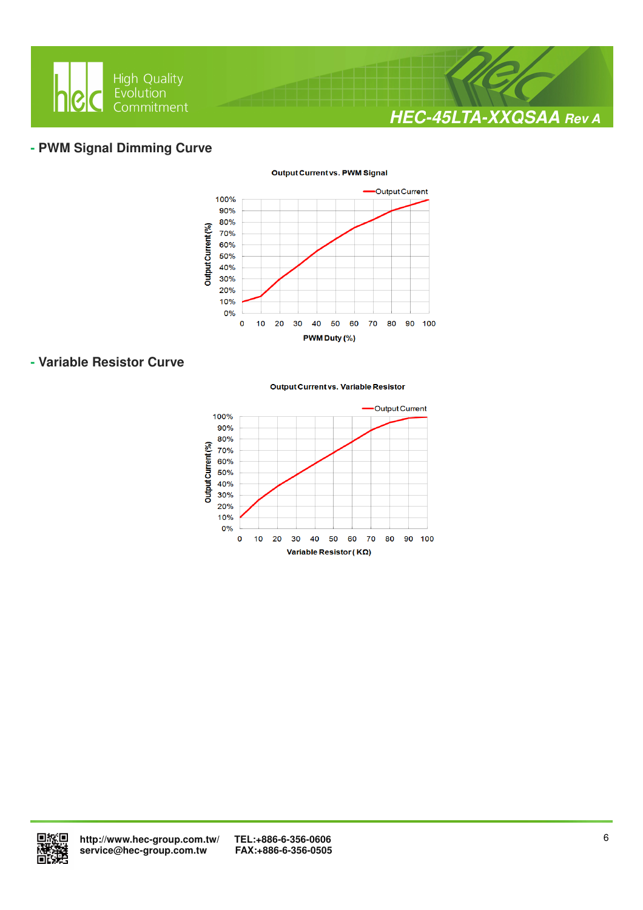

# **- PWM Signal Dimming Curve**



## **- Variable Resistor Curve**

#### **Output Current vs. Variable Resistor**



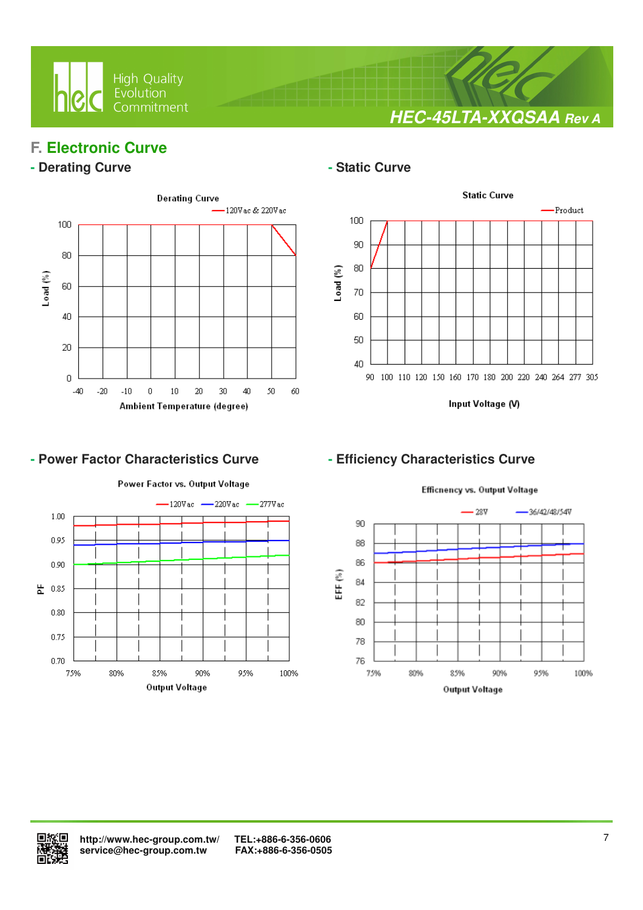

**HEC-45LTA-XXQSAA Rev A**

# **F. Electronic Curve**

## **- Derating Curve**  $\qquad$  **- Static Curve**



 $\overline{a}$ 



Input Voltage (V)

# - Power Factor Characteristics Curve **- Efficiency Characteristics Curve**



Efficnency vs. Output Voltage -36/42/48/54V  $28V$ 

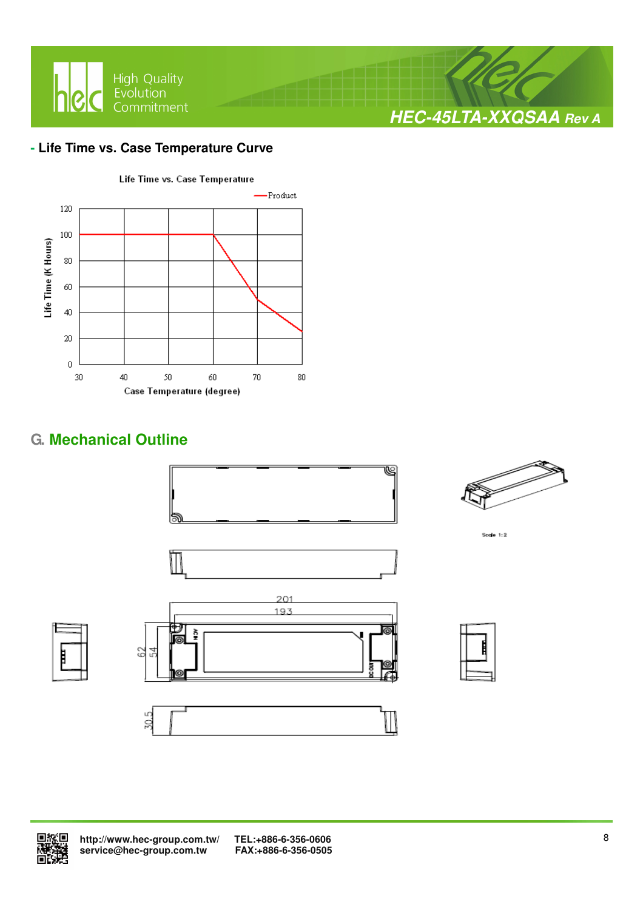

## **- Life Time vs. Case Temperature Curve**



# **G. Mechanical Outline**





Sccie  $1:2$ 



Š